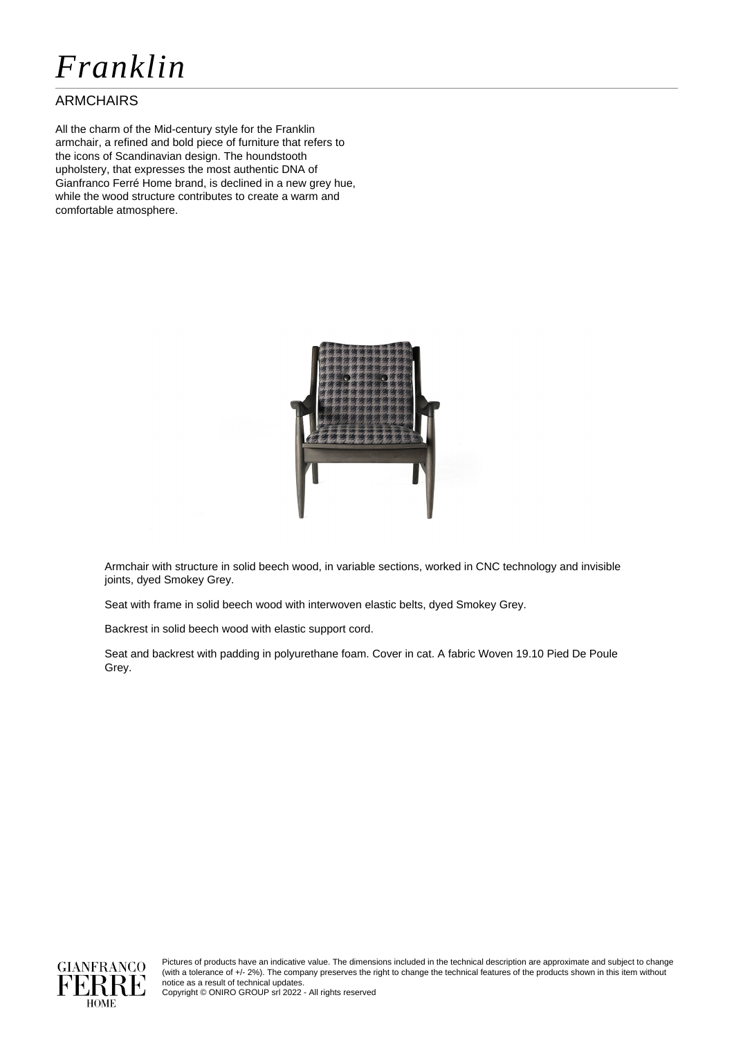# *Franklin*

### ARMCHAIRS

All the charm of the Mid-century style for the Franklin armchair, a refined and bold piece of furniture that refers to the icons of Scandinavian design. The houndstooth upholstery, that expresses the most authentic DNA of Gianfranco Ferré Home brand, is declined in a new grey hue, while the wood structure contributes to create a warm and comfortable atmosphere.



Armchair with structure in solid beech wood, in variable sections, worked in CNC technology and invisible joints, dyed Smokey Grey.

Seat with frame in solid beech wood with interwoven elastic belts, dyed Smokey Grey.

Backrest in solid beech wood with elastic support cord.

Seat and backrest with padding in polyurethane foam. Cover in cat. A fabric Woven 19.10 Pied De Poule Grey.



Pictures of products have an indicative value. The dimensions included in the technical description are approximate and subject to change (with a tolerance of +/- 2%). The company preserves the right to change the technical features of the products shown in this item without notice as a result of technical updates.

Copyright © ONIRO GROUP srl 2022 - All rights reserved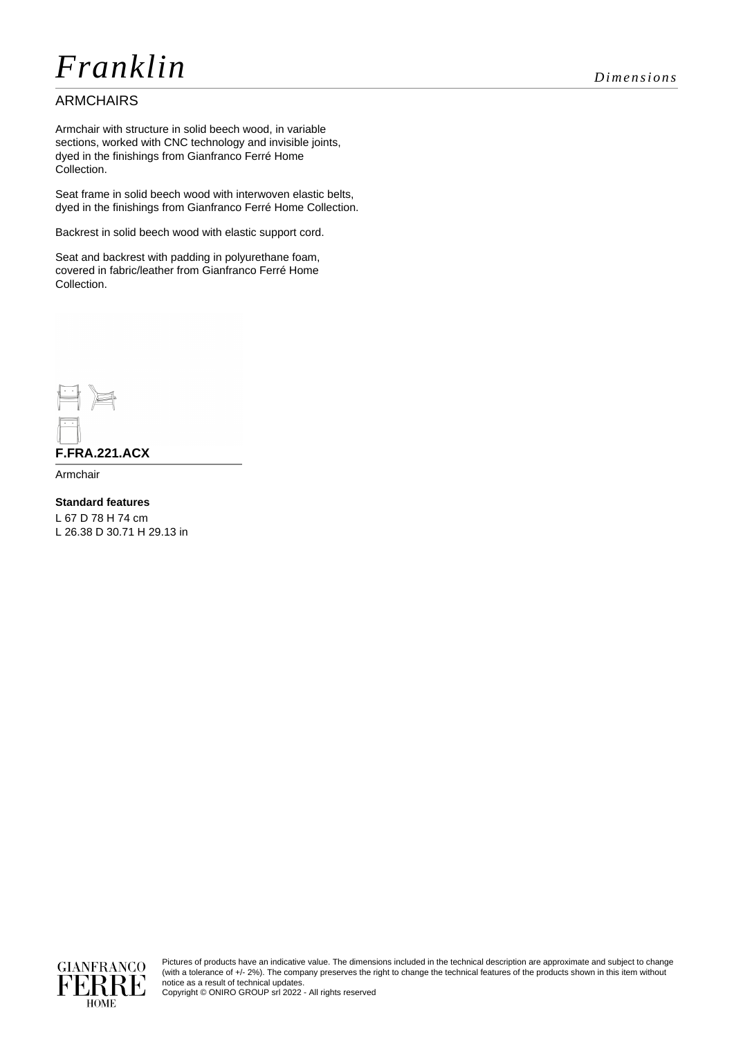# *Franklin Dimensions*

### ARMCHAIRS

Armchair with structure in solid beech wood, in variable sections, worked with CNC technology and invisible joints, dyed in the finishings from Gianfranco Ferré Home Collection.

Seat frame in solid beech wood with interwoven elastic belts, dyed in the finishings from Gianfranco Ferré Home Collection.

Backrest in solid beech wood with elastic support cord.

Seat and backrest with padding in polyurethane foam, covered in fabric/leather from Gianfranco Ferré Home Collection.



Armchair

**Standard features**

L 67 D 78 H 74 cm L 26.38 D 30.71 H 29.13 in



Pictures of products have an indicative value. The dimensions included in the technical description are approximate and subject to change (with a tolerance of +/- 2%). The company preserves the right to change the technical features of the products shown in this item without notice as a result of technical updates.